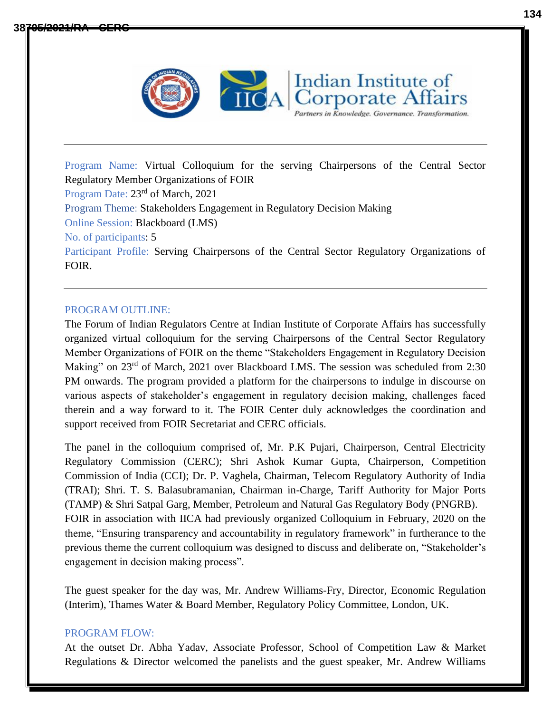

Program Name: Virtual Colloquium for the serving Chairpersons of the Central Sector Regulatory Member Organizations of FOIR Program Date:  $23<sup>rd</sup>$  of March, 2021 Program Theme: Stakeholders Engagement in Regulatory Decision Making Online Session: Blackboard (LMS) No. of participants: 5 Participant Profile: Serving Chairpersons of the Central Sector Regulatory Organizations of FOIR.

Indian Institute of

orporate Affairs Partners in Knowledge. Governance. Transformation.

## PROGRAM OUTLINE:

The Forum of Indian Regulators Centre at Indian Institute of Corporate Affairs has successfully organized virtual colloquium for the serving Chairpersons of the Central Sector Regulatory Member Organizations of FOIR on the theme "Stakeholders Engagement in Regulatory Decision Making" on 23<sup>rd</sup> of March, 2021 over Blackboard LMS. The session was scheduled from 2:30 PM onwards. The program provided a platform for the chairpersons to indulge in discourse on various aspects of stakeholder's engagement in regulatory decision making, challenges faced therein and a way forward to it. The FOIR Center duly acknowledges the coordination and support received from FOIR Secretariat and CERC officials.

The panel in the colloquium comprised of, Mr. P.K Pujari, Chairperson, Central Electricity Regulatory Commission (CERC); Shri Ashok Kumar Gupta, Chairperson, Competition Commission of India (CCI); Dr. P. Vaghela, Chairman, Telecom Regulatory Authority of India (TRAI); Shri. T. S. Balasubramanian, Chairman in-Charge, Tariff Authority for Major Ports (TAMP) & Shri Satpal Garg, Member, Petroleum and Natural Gas Regulatory Body (PNGRB). FOIR in association with IICA had previously organized Colloquium in February, 2020 on the theme, "Ensuring transparency and accountability in regulatory framework" in furtherance to the previous theme the current colloquium was designed to discuss and deliberate on, "Stakeholder's engagement in decision making process".

The guest speaker for the day was, Mr. Andrew Williams-Fry, Director, Economic Regulation (Interim), Thames Water & Board Member, Regulatory Policy Committee, London, UK.

## PROGRAM FLOW:

At the outset Dr. Abha Yadav, Associate Professor, School of Competition Law & Market Regulations & Director welcomed the panelists and the guest speaker, Mr. Andrew Williams